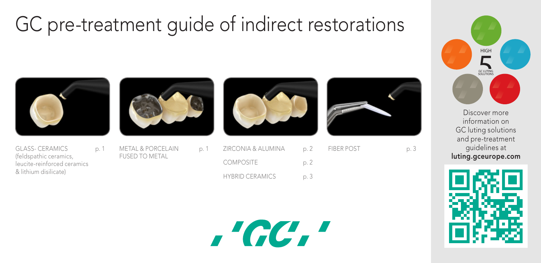# GC pre-treatment guide of indirect restorations



GLASS- CERAMICS p. 1 (feldspathic ceramics, leucite-reinforced ceramics & lithium disilicate)



METAL & PORCELAIN p. 1 FUSED TO METAL



ZIRCONIA & ALUMINA p. COMPOSITE p. HYBRID CERAMICS p. 3



p. 3

| l | <b>FIBER POST</b> |  |
|---|-------------------|--|
| 7 |                   |  |
|   |                   |  |



Discover more information on GC luting solutions and pre-treatment guidelines at luting.gceurope.com



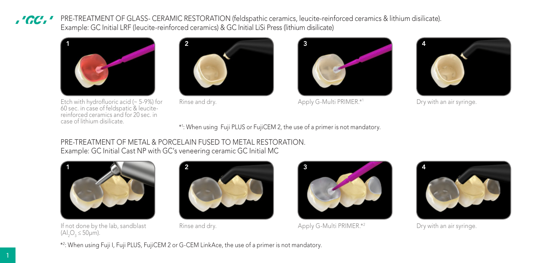PRE-TREATMENT OF GLASS- CERAMIC RESTORATION (feldspathic ceramics, leucite-reinforced ceramics & lithium disilicate). .'GC.' Example: GC Initial LRF (leucite-reinforced ceramics) & GC Initial LiSi Press (lithium disilicate)



Etch with hydrofluoric acid (~ 5-9%) for 60 sec. in case of feldspatic & leucitereinforced ceramics and for 20 sec. in case of lithium disilicate.





Rinse and dry. Apply G-Multi PRIMER.\*1 Dry with an air syringe.



\*1 : When using Fuji PLUS or FujiCEM 2, the use of a primer is not mandatory.

## PRE-TREATMENT OF METAL & PORCELAIN FUSED TO METAL RESTORATION. Example: GC Initial Cast NP with GC's veneering ceramic GC Initial MC



If not done by the lab, sandblast  $(Al<sub>2</sub>O<sub>3</sub> ≤ 50μm).$ 





Rinse and dry. Apply G-Multi PRIMER.\*2 Dry with an air syringe.



\*2 : When using Fuji I, Fuji PLUS, FujiCEM 2 or G-CEM LinkAce, the use of a primer is not mandatory.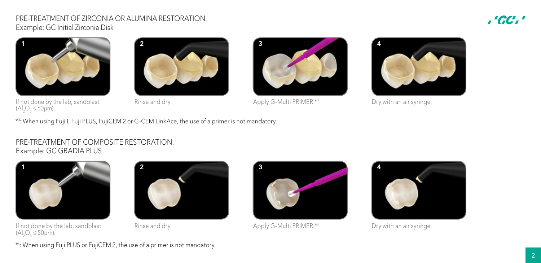## PRE-TREATMENT OF ZIRCONIA OR ALUMINA RESTORATION. Example: GC Initial Zirconia Disk

## ,'GC,'



If not done by the lab, sandblast (Al<sub>2</sub>O<sub>3</sub> ≤ 50μm).





Rinse and dry. Apply G-Multi PRIMER.\*3 Dry with an air syringe.



\*3 : When using Fuji I, Fuji PLUS, FujiCEM 2 or G-CEM LinkAce, the use of a primer is not mandatory.

## PRE-TREATMENT OF COMPOSITE RESTORATION. Example: GC GRADIA PLUS



If not done by the lab, sandblast  $(Al<sub>2</sub>O<sub>3</sub> ≤ 50μm).$ 





Rinse and dry. Apply G-Multi PRIMER.\*<sup>4</sup> Dry with an air syringe.



\*4 : When using Fuji PLUS or FujiCEM 2, the use of a primer is not mandatory.